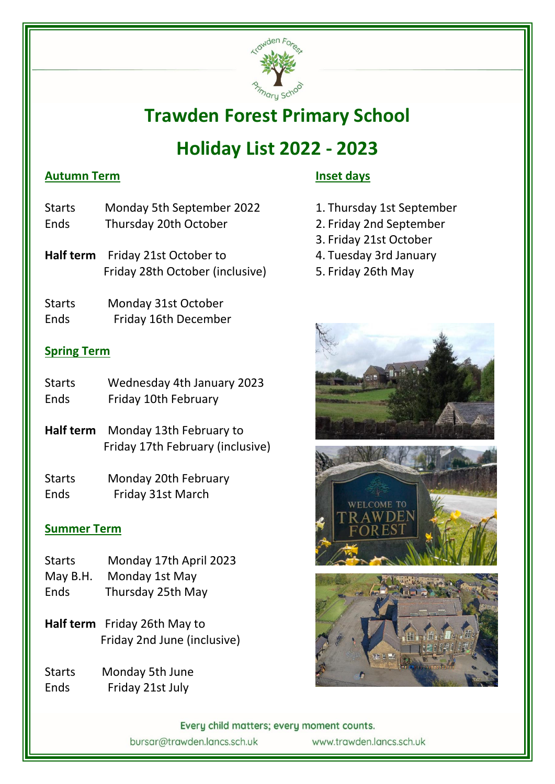

# **Trawden Forest Primary School**

# **Holiday List 2022 - 2023**

### **Autumn Term**

- Starts Monday 5th September 2022 Ends Thursday 20th October
- **Half term** Friday 21st October to Friday 28th October (inclusive)
- Starts Monday 31st October Ends Friday 16th December

### **Spring Term**

- Starts Wednesday 4th January 2023 Ends Friday 10th February
- **Half term** Monday 13th February to Friday 17th February (inclusive)
- Starts Monday 20th February Ends Friday 31st March

### **Summer Term**

- Starts Monday 17th April 2023
- May B.H. Monday 1st May
- Ends Thursday 25th May
- **Half term** Friday 26th May to Friday 2nd June (inclusive)
- Starts Monday 5th June Ends Friday 21st July

### **Inset days**

- 1. Thursday 1st September
- 2. Friday 2nd September
- 3. Friday 21st October
- 4. Tuesday 3rd January
- 5. Friday 26th May



Every child matters; every moment counts. bursar@trawden.lancs.sch.uk www.trawden.lancs.sch.uk